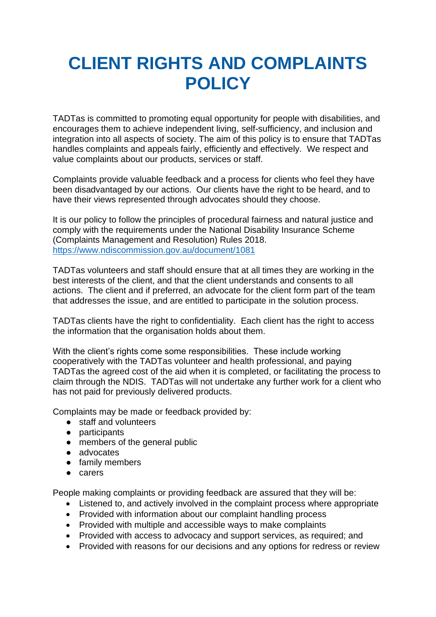# **CLIENT RIGHTS AND COMPLAINTS POLICY**

TADTas is committed to promoting equal opportunity for people with disabilities, and encourages them to achieve independent living, self-sufficiency, and inclusion and integration into all aspects of society. The aim of this policy is to ensure that TADTas handles complaints and appeals fairly, efficiently and effectively. We respect and value complaints about our products, services or staff.

Complaints provide valuable feedback and a process for clients who feel they have been disadvantaged by our actions. Our clients have the right to be heard, and to have their views represented through advocates should they choose.

It is our policy to follow the principles of procedural fairness and natural justice and comply with the requirements under the National Disability Insurance Scheme (Complaints Management and Resolution) Rules 2018. <https://www.ndiscommission.gov.au/document/1081>

TADTas volunteers and staff should ensure that at all times they are working in the best interests of the client, and that the client understands and consents to all actions. The client and if preferred, an advocate for the client form part of the team that addresses the issue, and are entitled to participate in the solution process.

TADTas clients have the right to confidentiality. Each client has the right to access the information that the organisation holds about them.

With the client's rights come some responsibilities. These include working cooperatively with the TADTas volunteer and health professional, and paying TADTas the agreed cost of the aid when it is completed, or facilitating the process to claim through the NDIS. TADTas will not undertake any further work for a client who has not paid for previously delivered products.

Complaints may be made or feedback provided by:

- staff and volunteers
- participants
- members of the general public
- advocates
- family members
- carers

People making complaints or providing feedback are assured that they will be:

- Listened to, and actively involved in the complaint process where appropriate
- Provided with information about our complaint handling process
- Provided with multiple and accessible ways to make complaints
- Provided with access to advocacy and support services, as required; and
- Provided with reasons for our decisions and any options for redress or review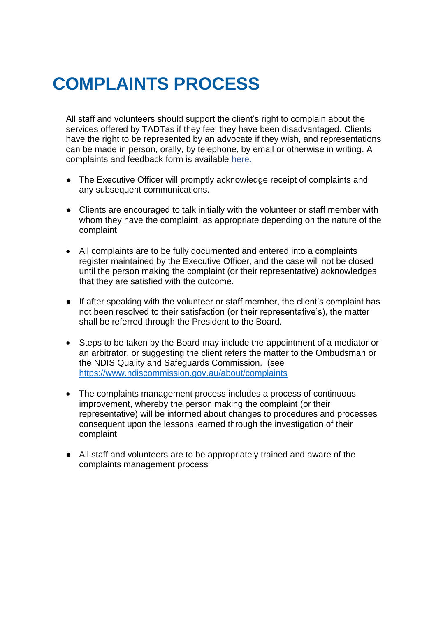# **COMPLAINTS PROCESS**

All staff and volunteers should support the client's right to complain about the services offered by TADTas if they feel they have been disadvantaged. Clients have the right to be represented by an advocate if they wish, and representations can be made in person, orally, by telephone, by email or otherwise in writing. A complaints and feedback form is available here.

- The Executive Officer will promptly acknowledge receipt of complaints and any subsequent communications.
- Clients are encouraged to talk initially with the volunteer or staff member with whom they have the complaint, as appropriate depending on the nature of the complaint.
- All complaints are to be fully documented and entered into a complaints register maintained by the Executive Officer, and the case will not be closed until the person making the complaint (or their representative) acknowledges that they are satisfied with the outcome.
- If after speaking with the volunteer or staff member, the client's complaint has not been resolved to their satisfaction (or their representative's), the matter shall be referred through the President to the Board.
- Steps to be taken by the Board may include the appointment of a mediator or an arbitrator, or suggesting the client refers the matter to the Ombudsman or the NDIS Quality and Safeguards Commission. (see <https://www.ndiscommission.gov.au/about/complaints>
- The complaints management process includes a process of continuous improvement, whereby the person making the complaint (or their representative) will be informed about changes to procedures and processes consequent upon the lessons learned through the investigation of their complaint.
- All staff and volunteers are to be appropriately trained and aware of the complaints management process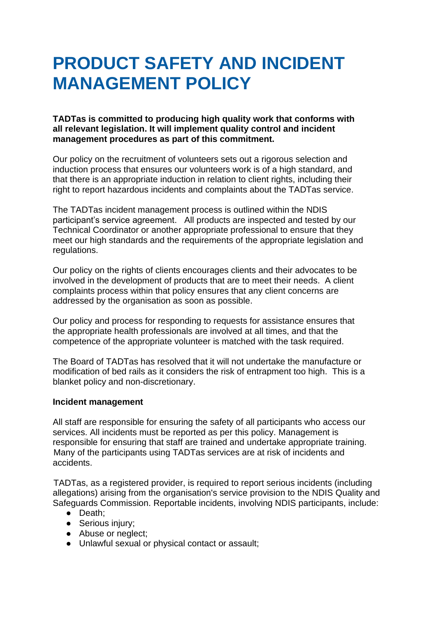# **PRODUCT SAFETY AND INCIDENT MANAGEMENT POLICY**

### **TADTas is committed to producing high quality work that conforms with all relevant legislation. It will implement quality control and incident management procedures as part of this commitment.**

Our policy on the recruitment of volunteers sets out a rigorous selection and induction process that ensures our volunteers work is of a high standard, and that there is an appropriate induction in relation to client rights, including their right to report hazardous incidents and complaints about the TADTas service.

The TADTas incident management process is outlined within the NDIS participant's service agreement. All products are inspected and tested by our Technical Coordinator or another appropriate professional to ensure that they meet our high standards and the requirements of the appropriate legislation and regulations.

Our policy on the rights of clients encourages clients and their advocates to be involved in the development of products that are to meet their needs. A client complaints process within that policy ensures that any client concerns are addressed by the organisation as soon as possible.

Our policy and process for responding to requests for assistance ensures that the appropriate health professionals are involved at all times, and that the competence of the appropriate volunteer is matched with the task required.

The Board of TADTas has resolved that it will not undertake the manufacture or modification of bed rails as it considers the risk of entrapment too high. This is a blanket policy and non-discretionary.

#### **Incident management**

All staff are responsible for ensuring the safety of all participants who access our services. All incidents must be reported as per this policy. Management is responsible for ensuring that staff are trained and undertake appropriate training. Many of the participants using TADTas services are at risk of incidents and accidents.

TADTas, as a registered provider, is required to report serious incidents (including allegations) arising from the organisation's service provision to the NDIS Quality and Safeguards Commission. Reportable incidents, involving NDIS participants, include:

- Death;
- Serious injury;
- Abuse or neglect;
- Unlawful sexual or physical contact or assault;